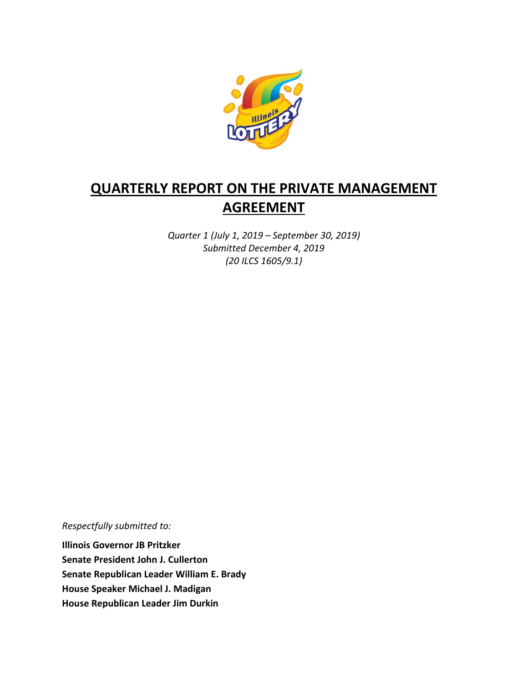

# **QUARTERLY REPORT ON THE PRIVATE MANAGEMENT AGREEMENT**

*Quarter 1 (July 1, 2019 – September 30, 2019) Submitted December 4, 2019 (20 ILCS 1605/9.1)*

*Respectfully submitted to:* 

**Illinois Governor JB Pritzker Senate President John J. Cullerton Senate Republican Leader William E. Brady House Speaker Michael J. Madigan House Republican Leader Jim Durkin**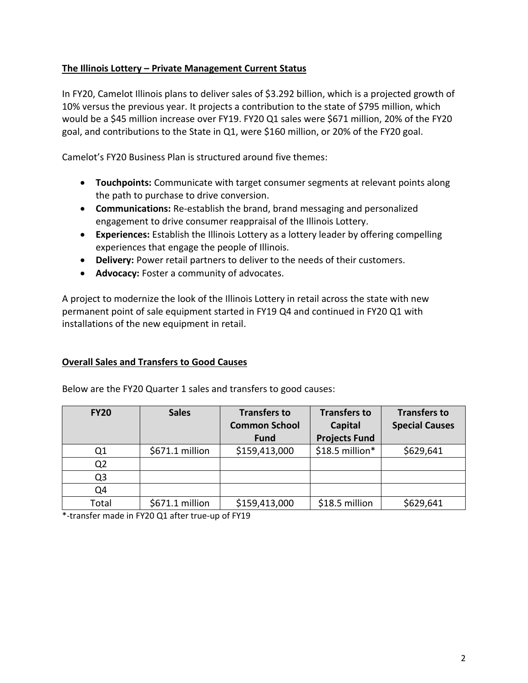## **The Illinois Lottery – Private Management Current Status**

In FY20, Camelot Illinois plans to deliver sales of \$3.292 billion, which is a projected growth of 10% versus the previous year. It projects a contribution to the state of \$795 million, which would be a \$45 million increase over FY19. FY20 Q1 sales were \$671 million, 20% of the FY20 goal, and contributions to the State in Q1, were \$160 million, or 20% of the FY20 goal.

Camelot's FY20 Business Plan is structured around five themes:

- **Touchpoints:** Communicate with target consumer segments at relevant points along the path to purchase to drive conversion.
- **Communications:** Re-establish the brand, brand messaging and personalized engagement to drive consumer reappraisal of the Illinois Lottery.
- **Experiences:** Establish the Illinois Lottery as a lottery leader by offering compelling experiences that engage the people of Illinois.
- **Delivery:** Power retail partners to deliver to the needs of their customers.
- **Advocacy:** Foster a community of advocates.

A project to modernize the look of the Illinois Lottery in retail across the state with new permanent point of sale equipment started in FY19 Q4 and continued in FY20 Q1 with installations of the new equipment in retail.

## **Overall Sales and Transfers to Good Causes**

| <b>FY20</b>    | <b>Sales</b>    | <b>Transfers to</b><br><b>Common School</b> | <b>Transfers to</b><br>Capital | <b>Transfers to</b><br><b>Special Causes</b> |
|----------------|-----------------|---------------------------------------------|--------------------------------|----------------------------------------------|
|                |                 | <b>Fund</b>                                 | <b>Projects Fund</b>           |                                              |
| Q <sub>1</sub> | \$671.1 million | \$159,413,000                               | \$18.5 million*                | \$629,641                                    |
| Q <sub>2</sub> |                 |                                             |                                |                                              |
| Q3             |                 |                                             |                                |                                              |
| Q4             |                 |                                             |                                |                                              |
| Total          | \$671.1 million | \$159,413,000                               | \$18.5 million                 | \$629,641                                    |

Below are the FY20 Quarter 1 sales and transfers to good causes:

\*-transfer made in FY20 Q1 after true-up of FY19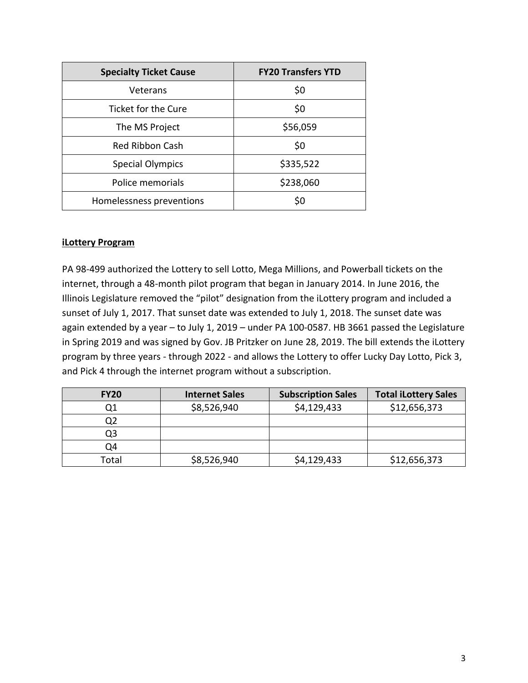| <b>Specialty Ticket Cause</b> | <b>FY20 Transfers YTD</b> |  |
|-------------------------------|---------------------------|--|
| Veterans                      | \$0                       |  |
| Ticket for the Cure           | \$0                       |  |
| The MS Project                | \$56,059                  |  |
| Red Ribbon Cash               | \$0                       |  |
| <b>Special Olympics</b>       | \$335,522                 |  |
| Police memorials              | \$238,060                 |  |
| Homelessness preventions      | \$0                       |  |

#### **iLottery Program**

PA 98-499 authorized the Lottery to sell Lotto, Mega Millions, and Powerball tickets on the internet, through a 48-month pilot program that began in January 2014. In June 2016, the Illinois Legislature removed the "pilot" designation from the iLottery program and included a sunset of July 1, 2017. That sunset date was extended to July 1, 2018. The sunset date was again extended by a year – to July 1, 2019 – under PA 100-0587. HB 3661 passed the Legislature in Spring 2019 and was signed by Gov. JB Pritzker on June 28, 2019. The bill extends the iLottery program by three years - through 2022 - and allows the Lottery to offer Lucky Day Lotto, Pick 3, and Pick 4 through the internet program without a subscription.

| <b>FY20</b> | <b>Internet Sales</b> | <b>Subscription Sales</b> | <b>Total iLottery Sales</b> |
|-------------|-----------------------|---------------------------|-----------------------------|
|             | \$8,526,940           | \$4,129,433               | \$12,656,373                |
|             |                       |                           |                             |
| Q3          |                       |                           |                             |
| Q4          |                       |                           |                             |
| Total       | \$8,526,940           | \$4,129,433               | \$12,656,373                |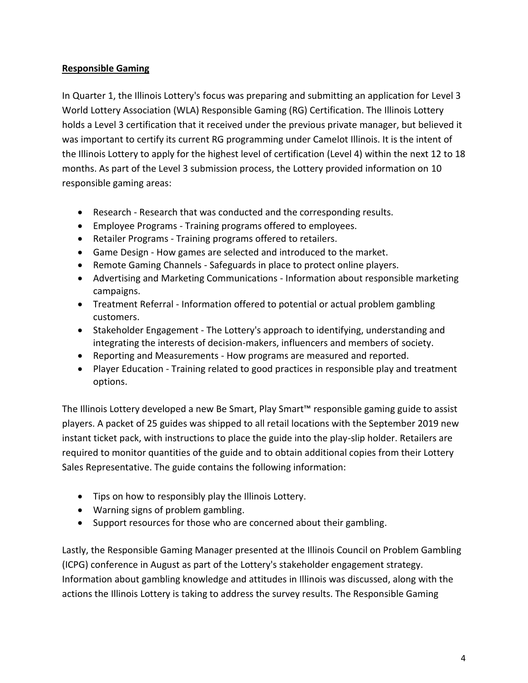# **Responsible Gaming**

In Quarter 1, the Illinois Lottery's focus was preparing and submitting an application for Level 3 World Lottery Association (WLA) Responsible Gaming (RG) Certification. The Illinois Lottery holds a Level 3 certification that it received under the previous private manager, but believed it was important to certify its current RG programming under Camelot Illinois. It is the intent of the Illinois Lottery to apply for the highest level of certification (Level 4) within the next 12 to 18 months. As part of the Level 3 submission process, the Lottery provided information on 10 responsible gaming areas:

- Research Research that was conducted and the corresponding results.
- Employee Programs Training programs offered to employees.
- Retailer Programs Training programs offered to retailers.
- Game Design How games are selected and introduced to the market.
- Remote Gaming Channels Safeguards in place to protect online players.
- Advertising and Marketing Communications Information about responsible marketing campaigns.
- Treatment Referral Information offered to potential or actual problem gambling customers.
- Stakeholder Engagement The Lottery's approach to identifying, understanding and integrating the interests of decision-makers, influencers and members of society.
- Reporting and Measurements How programs are measured and reported.
- Player Education Training related to good practices in responsible play and treatment options.

The Illinois Lottery developed a new Be Smart, Play Smart™ responsible gaming guide to assist players. A packet of 25 guides was shipped to all retail locations with the September 2019 new instant ticket pack, with instructions to place the guide into the play-slip holder. Retailers are required to monitor quantities of the guide and to obtain additional copies from their Lottery Sales Representative. The guide contains the following information:

- Tips on how to responsibly play the Illinois Lottery.
- Warning signs of problem gambling.
- Support resources for those who are concerned about their gambling.

Lastly, the Responsible Gaming Manager presented at the Illinois Council on Problem Gambling (ICPG) conference in August as part of the Lottery's stakeholder engagement strategy. Information about gambling knowledge and attitudes in Illinois was discussed, along with the actions the Illinois Lottery is taking to address the survey results. The Responsible Gaming